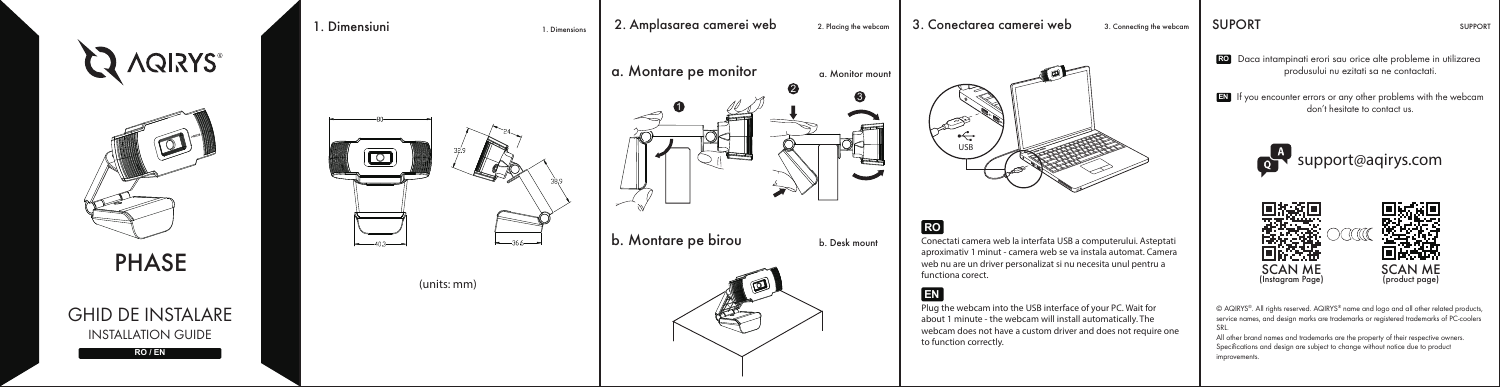



# GHID DE INSTALARE INSTALLATION GUIDE







(units: mm)



b. Montare pe birou b. Desk mount



1. Dimensiuni 1. Dimensions 2. Amplasarea camerei web 2. Placing the webcam 3. Conectarea camerei web 3. Connecting the webcam SUPORT SUPPORT



# **RO**

Conectati camera web la interfata USB a computerului. Asteptati aproximativ 1 minut - camera web se va instala automat. Camera web nu are un driver personalizat si nu necesita unul pentru a functiona corect.

## **EN**

Plug the webcam into the USB interface of your PC. Wait for about 1 minute - the webcam will install automatically. The webcam does not have a custom driver and does not require one to function correctly.

**RO** Daca intampinati erori sau orice alte probleme in utilizarea produsului nu ezitati sa ne contactati.

**EN** If you encounter errors or any other problems with the webcam don't hesitate to contact us.





© AQIRYS®. All rights reserved. AQIRYS® name and logo and all other related products, service names, and design marks are trademarks or registered trademarks of PC-coolers SRL.

All other brand names and trademarks are the property of their respective owners. Specifications and design are subject to change without notice due to product improvements.